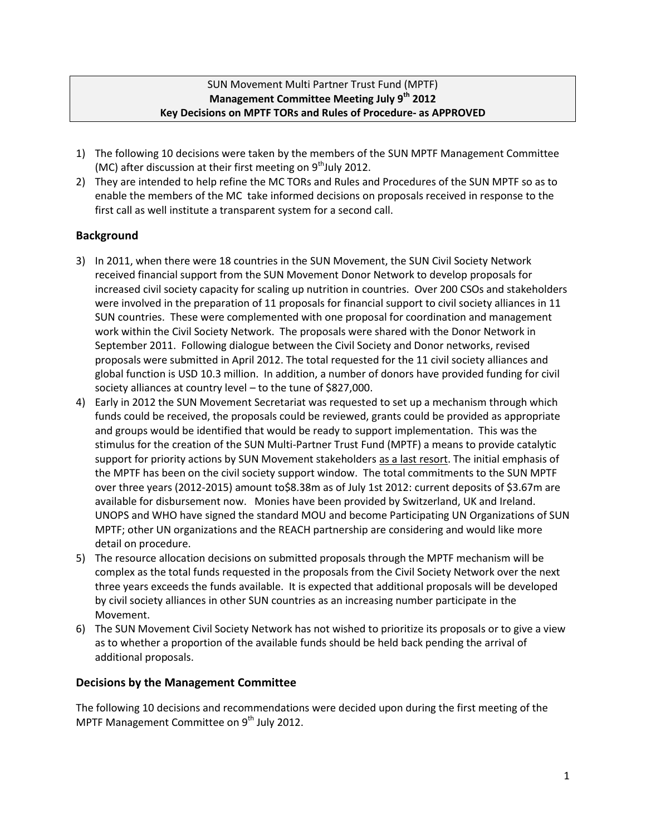## SUN Movement Multi Partner Trust Fund (MPTF) **Management Committee Meeting July 9th 2012 Key Decisions on MPTF TORs and Rules of Procedure- as APPROVED**

- 1) The following 10 decisions were taken by the members of the SUN MPTF Management Committee (MC) after discussion at their first meeting on  $9<sup>th</sup>$ July 2012.
- 2) They are intended to help refine the MC TORs and Rules and Procedures of the SUN MPTF so as to enable the members of the MC take informed decisions on proposals received in response to the first call as well institute a transparent system for a second call.

## **Background**

- 3) In 2011, when there were 18 countries in the SUN Movement, the SUN Civil Society Network received financial support from the SUN Movement Donor Network to develop proposals for increased civil society capacity for scaling up nutrition in countries. Over 200 CSOs and stakeholders were involved in the preparation of 11 proposals for financial support to civil society alliances in 11 SUN countries. These were complemented with one proposal for coordination and management work within the Civil Society Network. The proposals were shared with the Donor Network in September 2011. Following dialogue between the Civil Society and Donor networks, revised proposals were submitted in April 2012. The total requested for the 11 civil society alliances and global function is USD 10.3 million. In addition, a number of donors have provided funding for civil society alliances at country level – to the tune of \$827,000.
- 4) Early in 2012 the SUN Movement Secretariat was requested to set up a mechanism through which funds could be received, the proposals could be reviewed, grants could be provided as appropriate and groups would be identified that would be ready to support implementation. This was the stimulus for the creation of the SUN Multi-Partner Trust Fund (MPTF) a means to provide catalytic support for priority actions by SUN Movement stakeholders as a last resort. The initial emphasis of the MPTF has been on the civil society support window. The total commitments to the SUN MPTF over three years (2012-2015) amount to\$8.38m as of July 1st 2012: current deposits of \$3.67m are available for disbursement now. Monies have been provided by Switzerland, UK and Ireland. UNOPS and WHO have signed the standard MOU and become Participating UN Organizations of SUN MPTF; other UN organizations and the REACH partnership are considering and would like more detail on procedure.
- 5) The resource allocation decisions on submitted proposals through the MPTF mechanism will be complex as the total funds requested in the proposals from the Civil Society Network over the next three years exceeds the funds available. It is expected that additional proposals will be developed by civil society alliances in other SUN countries as an increasing number participate in the Movement.
- 6) The SUN Movement Civil Society Network has not wished to prioritize its proposals or to give a view as to whether a proportion of the available funds should be held back pending the arrival of additional proposals.

## **Decisions by the Management Committee**

The following 10 decisions and recommendations were decided upon during the first meeting of the MPTF Management Committee on 9<sup>th</sup> July 2012.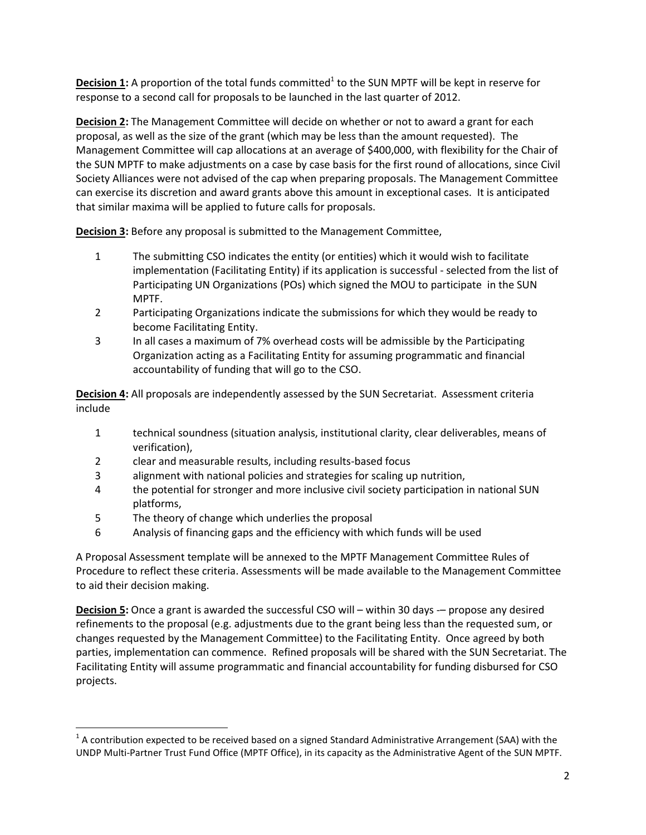**Decision 1**: A proportion of the total funds committed<sup>1</sup> to the SUN MPTF will be kept in reserve for response to a second call for proposals to be launched in the last quarter of 2012.

**Decision 2:** The Management Committee will decide on whether or not to award a grant for each proposal, as well as the size of the grant (which may be less than the amount requested). The Management Committee will cap allocations at an average of \$400,000, with flexibility for the Chair of the SUN MPTF to make adjustments on a case by case basis for the first round of allocations, since Civil Society Alliances were not advised of the cap when preparing proposals. The Management Committee can exercise its discretion and award grants above this amount in exceptional cases. It is anticipated that similar maxima will be applied to future calls for proposals.

**Decision 3:** Before any proposal is submitted to the Management Committee,

- 1 The submitting CSO indicates the entity (or entities) which it would wish to facilitate implementation (Facilitating Entity) if its application is successful - selected from the list of Participating UN Organizations (POs) which signed the MOU to participate in the SUN MPTF.
- 2 Participating Organizations indicate the submissions for which they would be ready to become Facilitating Entity.
- 3 In all cases a maximum of 7% overhead costs will be admissible by the Participating Organization acting as a Facilitating Entity for assuming programmatic and financial accountability of funding that will go to the CSO.

**Decision 4:** All proposals are independently assessed by the SUN Secretariat. Assessment criteria include

- 1 technical soundness (situation analysis, institutional clarity, clear deliverables, means of verification),
- 2 clear and measurable results, including results-based focus
- 3 alignment with national policies and strategies for scaling up nutrition,
- 4 the potential for stronger and more inclusive civil society participation in national SUN platforms,
- 5 The theory of change which underlies the proposal

l

6 Analysis of financing gaps and the efficiency with which funds will be used

A Proposal Assessment template will be annexed to the MPTF Management Committee Rules of Procedure to reflect these criteria. Assessments will be made available to the Management Committee to aid their decision making.

**Decision 5:** Once a grant is awarded the successful CSO will – within 30 days -– propose any desired refinements to the proposal (e.g. adjustments due to the grant being less than the requested sum, or changes requested by the Management Committee) to the Facilitating Entity. Once agreed by both parties, implementation can commence. Refined proposals will be shared with the SUN Secretariat. The Facilitating Entity will assume programmatic and financial accountability for funding disbursed for CSO projects.

 $^1$  A contribution expected to be received based on a signed Standard Administrative Arrangement (SAA) with the UNDP Multi-Partner Trust Fund Office (MPTF Office), in its capacity as the Administrative Agent of the SUN MPTF.